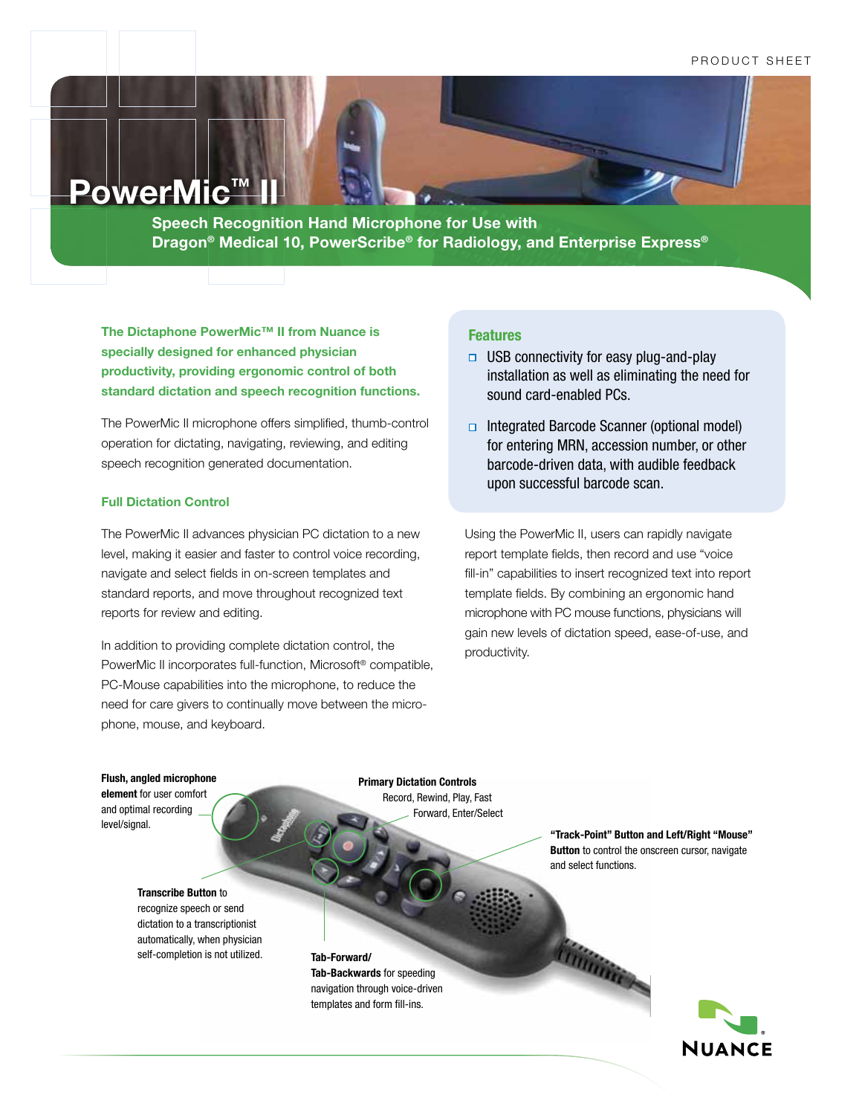## PRODUCT SHEET

# **PowerMic™ I**

**Speech Recognition Hand Microphone for Use with Dragon® Medical 10, PowerScribe® for Radiology, and Enterprise Express®**

**The Dictaphone PowerMic™ II from Nuance is specially designed for enhanced physician productivity, providing ergonomic control of both standard dictation and speech recognition functions.** 

The PowerMic II microphone offers simplified, thumb-control operation for dictating, navigating, reviewing, and editing speech recognition generated documentation.

### **Full Dictation Control**

The PowerMic II advances physician PC dictation to a new level, making it easier and faster to control voice recording, navigate and select fields in on-screen templates and standard reports, and move throughout recognized text reports for review and editing.

In addition to providing complete dictation control, the PowerMic II incorporates full-function, Microsoft® compatible, PC-Mouse capabilities into the microphone, to reduce the need for care givers to continually move between the microphone, mouse, and keyboard.

# **Features**

- $\Box$  USB connectivity for easy plug-and-play installation as well as eliminating the need for sound card-enabled PCs.
- $\Box$  Integrated Barcode Scanner (optional model) for entering MRN, accession number, or other barcode-driven data, with audible feedback upon successful barcode scan.

Using the PowerMic II, users can rapidly navigate report template fields, then record and use "voice fill-in" capabilities to insert recognized text into report template fields. By combining an ergonomic hand microphone with PC mouse functions, physicians will gain new levels of dictation speed, ease-of-use, and productivity.

#### **Flush, angled microphone**

**element** for user comfort and optimal recording level/signal.

**Primary Dictation Controls** Record, Rewind, Play, Fast Forward, Enter/Select

**"Track-Point" Button and Left/Right "Mouse" Button** to control the onscreen cursor, navigate and select functions.

# **Transcribe Button** to

recognize speech or send dictation to a transcriptionist automatically, when physician self-completion is not utilized.

**Tab-Forward/ Tab-Backwards** for speeding navigation through voice-driven templates and form fill-ins.